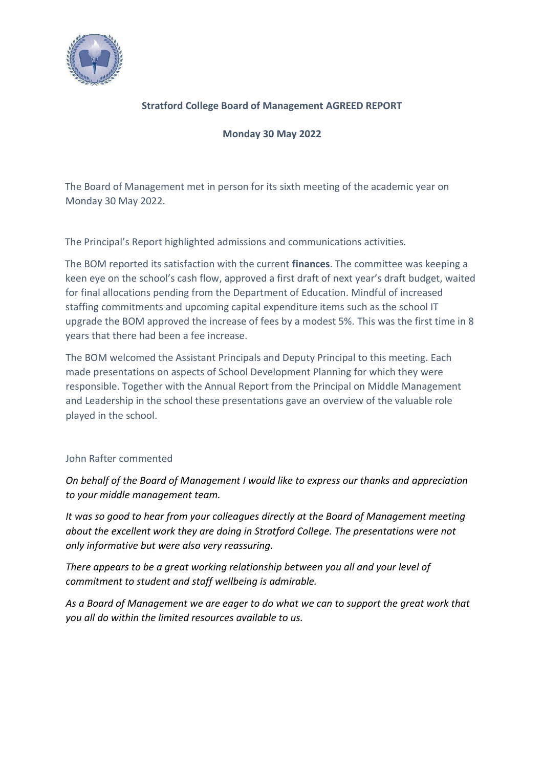

## **Stratford College Board of Management AGREED REPORT**

**Monday 30 May 2022** 

The Board of Management met in person for its sixth meeting of the academic year on Monday 30 May 2022.

The Principal's Report highlighted admissions and communications activities.

The BOM reported its satisfaction with the current **finances**. The committee was keeping a keen eye on the school's cash flow, approved a first draft of next year's draft budget, waited for final allocations pending from the Department of Education. Mindful of increased staffing commitments and upcoming capital expenditure items such as the school IT upgrade the BOM approved the increase of fees by a modest 5%. This was the first time in 8 years that there had been a fee increase.

The BOM welcomed the Assistant Principals and Deputy Principal to this meeting. Each made presentations on aspects of School Development Planning for which they were responsible. Together with the Annual Report from the Principal on Middle Management and Leadership in the school these presentations gave an overview of the valuable role played in the school.

## John Rafter commented

*On behalf of the Board of Management I would like to express our thanks and appreciation to your middle management team.* 

*It was so good to hear from your colleagues directly at the Board of Management meeting about the excellent work they are doing in Stratford College. The presentations were not only informative but were also very reassuring.*

*There appears to be a great working relationship between you all and your level of commitment to student and staff wellbeing is admirable.*

*As a Board of Management we are eager to do what we can to support the great work that you all do within the limited resources available to us.*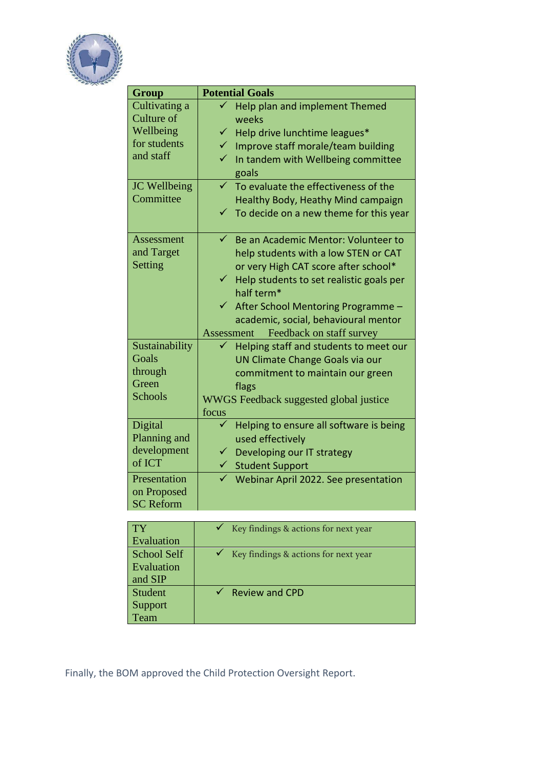

| <b>Group</b>     | <b>Potential Goals</b>                               |  |
|------------------|------------------------------------------------------|--|
| Cultivating a    | ✓<br>Help plan and implement Themed                  |  |
| Culture of       | weeks                                                |  |
| Wellbeing        | $\checkmark$ Help drive lunchtime leagues*           |  |
| for students     | Improve staff morale/team building<br>$\checkmark$   |  |
| and staff        | In tandem with Wellbeing committee                   |  |
|                  | goals                                                |  |
| JC Wellbeing     | $\checkmark$<br>To evaluate the effectiveness of the |  |
| Committee        | Healthy Body, Heathy Mind campaign                   |  |
|                  | $\checkmark$ To decide on a new theme for this year  |  |
|                  |                                                      |  |
| Assessment       | $\checkmark$<br>Be an Academic Mentor: Volunteer to  |  |
| and Target       | help students with a low STEN or CAT                 |  |
| Setting          | or very High CAT score after school*                 |  |
|                  | Help students to set realistic goals per             |  |
|                  | half term*                                           |  |
|                  | $\checkmark$<br>After School Mentoring Programme -   |  |
|                  | academic, social, behavioural mentor                 |  |
|                  | Feedback on staff survey<br>Assessment               |  |
| Sustainability   | Helping staff and students to meet our               |  |
| Goals            | UN Climate Change Goals via our                      |  |
| through          | commitment to maintain our green                     |  |
| Green            | flags                                                |  |
| <b>Schools</b>   | WWGS Feedback suggested global justice               |  |
|                  | focus                                                |  |
| Digital          | Helping to ensure all software is being              |  |
| Planning and     | used effectively                                     |  |
| development      | Developing our IT strategy                           |  |
| of ICT           | $\checkmark$ Student Support                         |  |
| Presentation     | Webinar April 2022. See presentation                 |  |
| on Proposed      |                                                      |  |
| <b>SC Reform</b> |                                                      |  |

| TY          | Key findings & actions for next year              |
|-------------|---------------------------------------------------|
| Evaluation  |                                                   |
| School Self | $\checkmark$ Key findings & actions for next year |
| Evaluation  |                                                   |
| and SIP     |                                                   |
| Student     | $\checkmark$ Review and CPD                       |
| Support     |                                                   |
| Team        |                                                   |

Finally, the BOM approved the Child Protection Oversight Report.